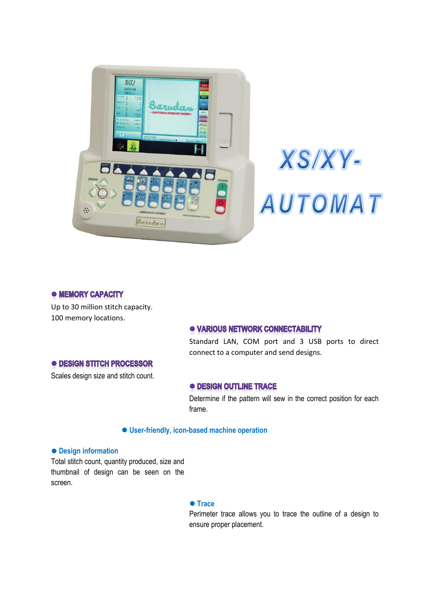

# XS/XY-AUTOMAT

# • MEMORY CAPACITY

Up to 30 million stitch capacity. 100 memory locations.

# · VARIOUS NETWORK CONNECTABILITY

Standard LAN, COM port and 3 USB ports to direct connect to a computer and send designs.

# **• DESIGN STITCH PROCESSOR**

Scales design size and stitch count.

### **• DESIGN OUTLINE TRACE**

Determine if the pattern will sew in the correct position for each frame.

# **User-friendly, icon-based machine operation**

#### **Design information**

Total stitch count, quantity produced, size and thumbnail of design can be seen on the screen.

#### **Trace**

Perimeter trace allows you to trace the outline of a design to ensure proper placement.